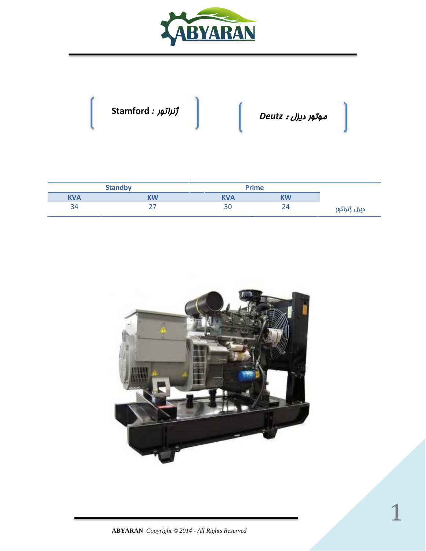



|           | <b>Prime</b> | <b>Standby</b> |            |  |
|-----------|--------------|----------------|------------|--|
| <b>KW</b> | <b>KVA</b>   | <b>KW</b>      | <b>KVA</b> |  |
|           | 30           |                | 34         |  |

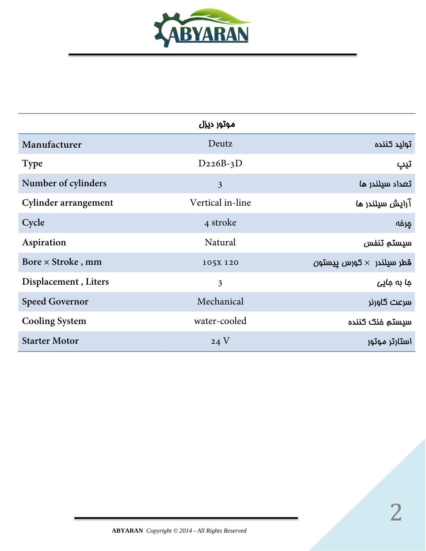

|                       | موتور ديزل       |                                 |
|-----------------------|------------------|---------------------------------|
| Manufacturer          | Deutz            | توليد كننده                     |
| <b>Type</b>           | $D226B-3D$       | تيپ                             |
| Number of cylinders   | $\mathfrak{Z}$   | تعداد سيلندر ها                 |
| Cylinder arrangement  | Vertical in-line | آرایش سیلندر ما                 |
| Cycle                 | 4 stroke         | جرفه                            |
| Aspiration            | Natural          | سيستم تنفس                      |
| Bore × Stroke, mm     | 105X 120         | قطر سيلندر $\times$ كورس پيستون |
| Displacement, Liters  | 3                | جا بہ جاپے                      |
| <b>Speed Governor</b> | Mechanical       | سرعت گاورنر                     |
| <b>Cooling System</b> | water-cooled     | سيستم فنك كننده                 |
| <b>Starter Motor</b>  | 24V              | استارتر موتور                   |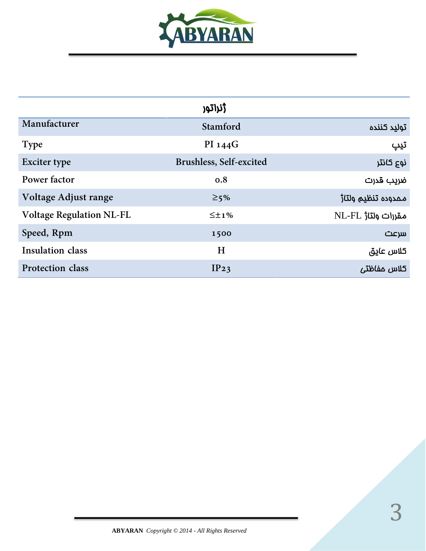

|                                 | ژنراتور                 |                                |
|---------------------------------|-------------------------|--------------------------------|
| Manufacturer                    | Stamford                | توليد كننده                    |
| <b>Type</b>                     | PI 144G                 | تيپ                            |
| <b>Exciter type</b>             | Brushless, Self-excited | نوع کانتر                      |
| Power factor                    | 0.8                     | ضريب قدرت                      |
| Voltage Adjust range            | $\geq$ 5%               | ممدوده تنظيم ولتا <del>ز</del> |
| <b>Voltage Regulation NL-FL</b> | $\leq \pm 1\%$          | مقررات ولتار NL-FL             |
| Speed, Rpm                      | 1500                    | سرعت                           |
| <b>Insulation class</b>         | H                       | كلاس عايق                      |
| Protection class                | IP23                    | كلاس مفاظتى                    |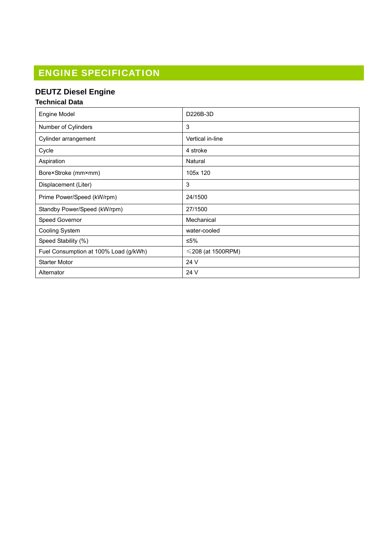# ENGINE SPECIFICATION

## **DEUTZ Diesel Engine**

#### **Technical Data**

| <b>Engine Model</b>                   | D226B-3D                |
|---------------------------------------|-------------------------|
| Number of Cylinders                   | 3                       |
| Cylinder arrangement                  | Vertical in-line        |
| Cycle                                 | 4 stroke                |
| Aspiration                            | Natural                 |
| Bore×Stroke (mm×mm)                   | 105x 120                |
| Displacement (Liter)                  | 3                       |
| Prime Power/Speed (kW/rpm)            | 24/1500                 |
| Standby Power/Speed (kW/rpm)          | 27/1500                 |
| Speed Governor                        | Mechanical              |
| Cooling System                        | water-cooled            |
| Speed Stability (%)                   | ≤5%                     |
| Fuel Consumption at 100% Load (g/kWh) | $\leq$ 208 (at 1500RPM) |
| <b>Starter Motor</b>                  | 24 V                    |
| Alternator                            | 24 V                    |